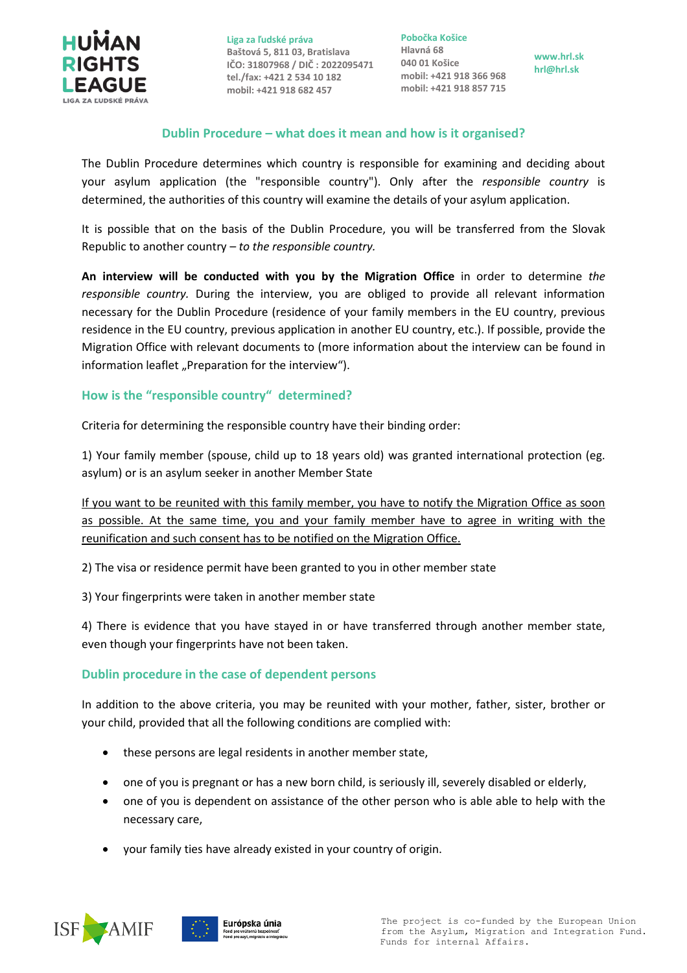

**Liga za ľudské práva Baštová 5, 811 03, Bratislava IČO: 31807968 / DIČ : 2022095471 tel./fax: +421 2 534 10 182 mobil: +421 918 682 457**

**Pobočka Košice Hlavná 68 040 01 Košice mobil: +421 918 366 968 mobil: +421 918 857 715**

**www.hrl.sk hrl@hrl.sk**

## **Dublin Procedure – what does it mean and how is it organised?**

The Dublin Procedure determines which country is responsible for examining and deciding about your asylum application (the "responsible country"). Only after the *responsible country* is determined, the authorities of this country will examine the details of your asylum application.

It is possible that on the basis of the Dublin Procedure, you will be transferred from the Slovak Republic to another country – *to the responsible country.*

**An interview will be conducted with you by the Migration Office** in order to determine *the responsible country.* During the interview, you are obliged to provide all relevant information necessary for the Dublin Procedure (residence of your family members in the EU country, previous residence in the EU country, previous application in another EU country, etc.). If possible, provide the Migration Office with relevant documents to (more information about the interview can be found in information leaflet "Preparation for the interview").

## **How is the "responsible country" determined?**

Criteria for determining the responsible country have their binding order:

1) Your family member (spouse, child up to 18 years old) was granted international protection (eg. asylum) or is an asylum seeker in another Member State

If you want to be reunited with this family member, you have to notify the Migration Office as soon as possible. At the same time, you and your family member have to agree in writing with the reunification and such consent has to be notified on the Migration Office.

2) The visa or residence permit have been granted to you in other member state

3) Your fingerprints were taken in another member state

4) There is evidence that you have stayed in or have transferred through another member state, even though your fingerprints have not been taken.

## **Dublin procedure in the case of dependent persons**

In addition to the above criteria, you may be reunited with your mother, father, sister, brother or your child, provided that all the following conditions are complied with:

- these persons are legal residents in another member state,
- one of you is pregnant or has a new born child, is seriously ill, severely disabled or elderly,
- one of you is dependent on assistance of the other person who is able able to help with the necessary care,
- your family ties have already existed in your country of origin.